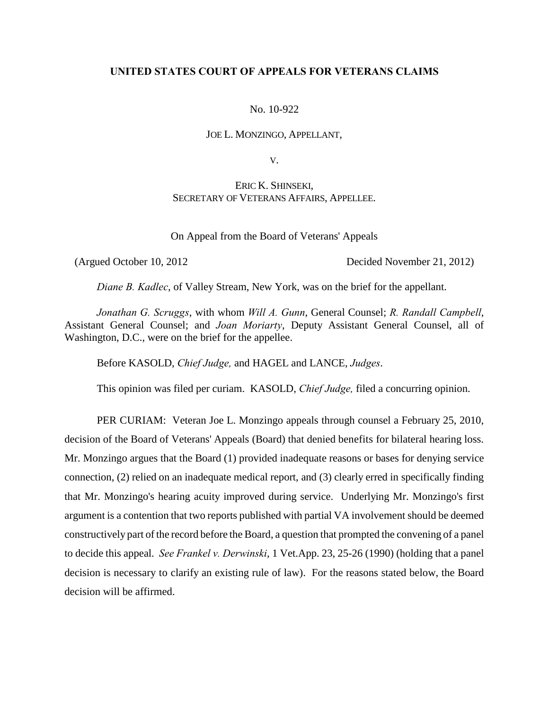## **UNITED STATES COURT OF APPEALS FOR VETERANS CLAIMS**

## No. 10-922

### JOE L. MONZINGO, APPELLANT,

V.

# ERIC K. SHINSEKI, SECRETARY OF VETERANS AFFAIRS, APPELLEE.

On Appeal from the Board of Veterans' Appeals

(Argued October 10, 2012 Decided November 21, 2012)

*Diane B. Kadlec*, of Valley Stream, New York, was on the brief for the appellant.

*Jonathan G. Scruggs*, with whom *Will A. Gunn*, General Counsel; *R. Randall Campbell*, Assistant General Counsel; and *Joan Moriarty*, Deputy Assistant General Counsel, all of Washington, D.C., were on the brief for the appellee.

Before KASOLD, *Chief Judge,* and HAGEL and LANCE, *Judges*.

This opinion was filed per curiam. KASOLD, *Chief Judge,* filed a concurring opinion.

PER CURIAM: Veteran Joe L. Monzingo appeals through counsel a February 25, 2010, decision of the Board of Veterans' Appeals (Board) that denied benefits for bilateral hearing loss. Mr. Monzingo argues that the Board (1) provided inadequate reasons or bases for denying service connection, (2) relied on an inadequate medical report, and (3) clearly erred in specifically finding that Mr. Monzingo's hearing acuity improved during service. Underlying Mr. Monzingo's first argument is a contention that two reports published with partial VA involvement should be deemed constructively part of the record before the Board, a question that prompted the convening of a panel to decide this appeal. *See Frankel v. Derwinski*, 1 Vet.App. 23, 25-26 (1990) (holding that a panel decision is necessary to clarify an existing rule of law). For the reasons stated below, the Board decision will be affirmed.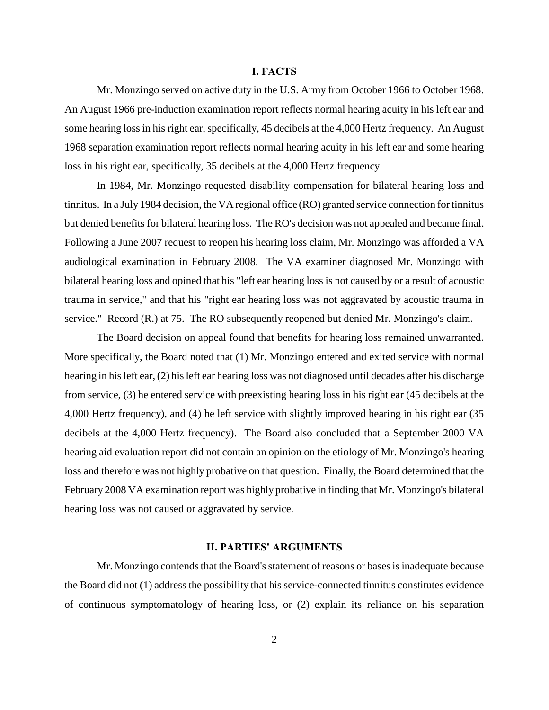### **I. FACTS**

Mr. Monzingo served on active duty in the U.S. Army from October 1966 to October 1968. An August 1966 pre-induction examination report reflects normal hearing acuity in his left ear and some hearing loss in his right ear, specifically, 45 decibels at the 4,000 Hertz frequency. An August 1968 separation examination report reflects normal hearing acuity in his left ear and some hearing loss in his right ear, specifically, 35 decibels at the 4,000 Hertz frequency.

In 1984, Mr. Monzingo requested disability compensation for bilateral hearing loss and tinnitus. In a July 1984 decision, the VA regional office (RO) granted service connection for tinnitus but denied benefits for bilateral hearing loss. The RO's decision was not appealed and became final. Following a June 2007 request to reopen his hearing loss claim, Mr. Monzingo was afforded a VA audiological examination in February 2008. The VA examiner diagnosed Mr. Monzingo with bilateral hearing loss and opined that his "left ear hearing loss is not caused by or a result of acoustic trauma in service," and that his "right ear hearing loss was not aggravated by acoustic trauma in service." Record (R.) at 75. The RO subsequently reopened but denied Mr. Monzingo's claim.

The Board decision on appeal found that benefits for hearing loss remained unwarranted. More specifically, the Board noted that (1) Mr. Monzingo entered and exited service with normal hearing in his left ear, (2) his left ear hearing loss was not diagnosed until decades after his discharge from service, (3) he entered service with preexisting hearing loss in his right ear (45 decibels at the 4,000 Hertz frequency), and (4) he left service with slightly improved hearing in his right ear (35 decibels at the 4,000 Hertz frequency). The Board also concluded that a September 2000 VA hearing aid evaluation report did not contain an opinion on the etiology of Mr. Monzingo's hearing loss and therefore was not highly probative on that question. Finally, the Board determined that the February 2008 VA examination report was highly probative in finding that Mr. Monzingo's bilateral hearing loss was not caused or aggravated by service.

# **II. PARTIES' ARGUMENTS**

Mr. Monzingo contends that the Board's statement of reasons or bases is inadequate because the Board did not (1) address the possibility that his service-connected tinnitus constitutes evidence of continuous symptomatology of hearing loss, or (2) explain its reliance on his separation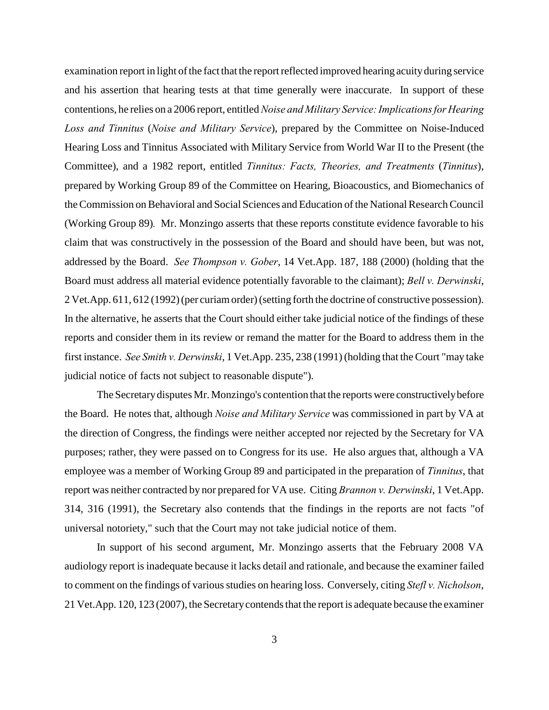examination report in light of the fact that the report reflected improved hearing acuity during service and his assertion that hearing tests at that time generally were inaccurate. In support of these contentions, he relies on a 2006 report, entitled *Noise and Military Service: Implications for Hearing Loss and Tinnitus* (*Noise and Military Service*), prepared by the Committee on Noise-Induced Hearing Loss and Tinnitus Associated with Military Service from World War II to the Present (the Committee), and a 1982 report, entitled *Tinnitus: Facts, Theories, and Treatments* (*Tinnitus*), prepared by Working Group 89 of the Committee on Hearing, Bioacoustics, and Biomechanics of the Commission on Behavioral and Social Sciences and Education of the National Research Council (Working Group 89)*.* Mr. Monzingo asserts that these reports constitute evidence favorable to his claim that was constructively in the possession of the Board and should have been, but was not, addressed by the Board. *See Thompson v. Gober*, 14 Vet.App. 187, 188 (2000) (holding that the Board must address all material evidence potentially favorable to the claimant); *Bell v. Derwinski*, 2 Vet.App. 611, 612 (1992) (per curiam order) (setting forth the doctrine of constructive possession). In the alternative, he asserts that the Court should either take judicial notice of the findings of these reports and consider them in its review or remand the matter for the Board to address them in the first instance. *See Smith v. Derwinski*, 1 Vet.App. 235, 238 (1991) (holding that the Court "may take judicial notice of facts not subject to reasonable dispute").

The Secretary disputes Mr. Monzingo's contention that the reports were constructively before the Board. He notes that, although *Noise and Military Service* was commissioned in part by VA at the direction of Congress, the findings were neither accepted nor rejected by the Secretary for VA purposes; rather, they were passed on to Congress for its use. He also argues that, although a VA employee was a member of Working Group 89 and participated in the preparation of *Tinnitus*, that report was neither contracted by nor prepared for VA use. Citing *Brannon v. Derwinski*, 1 Vet.App. 314, 316 (1991), the Secretary also contends that the findings in the reports are not facts "of universal notoriety," such that the Court may not take judicial notice of them.

In support of his second argument, Mr. Monzingo asserts that the February 2008 VA audiology report is inadequate because it lacks detail and rationale, and because the examiner failed to comment on the findings of various studies on hearing loss. Conversely, citing *Stefl v. Nicholson*, 21 Vet.App. 120, 123 (2007), the Secretary contends that the report is adequate because the examiner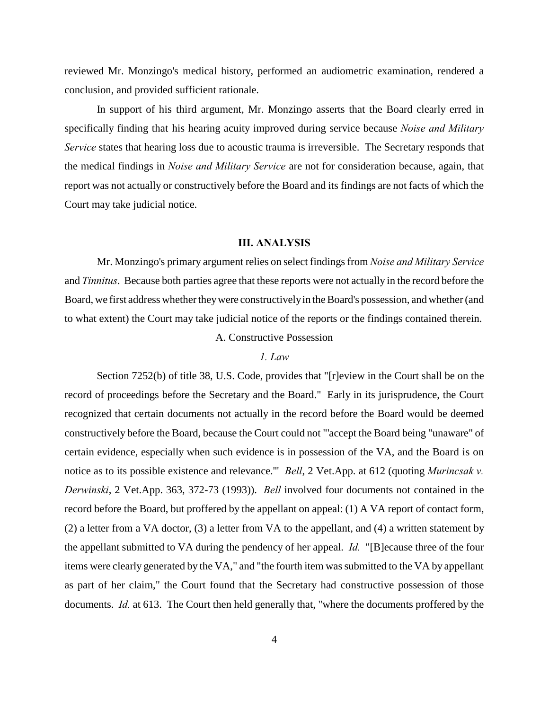reviewed Mr. Monzingo's medical history, performed an audiometric examination, rendered a conclusion, and provided sufficient rationale.

In support of his third argument, Mr. Monzingo asserts that the Board clearly erred in specifically finding that his hearing acuity improved during service because *Noise and Military Service* states that hearing loss due to acoustic trauma is irreversible. The Secretary responds that the medical findings in *Noise and Military Service* are not for consideration because, again, that report was not actually or constructively before the Board and its findings are not facts of which the Court may take judicial notice.

## **III. ANALYSIS**

Mr. Monzingo's primary argument relies on select findings from *Noise and Military Service* and *Tinnitus*. Because both parties agree that these reports were not actually in the record before the Board, we first address whether they were constructively in the Board's possession, and whether (and to what extent) the Court may take judicial notice of the reports or the findings contained therein.

A. Constructive Possession

# *1. Law*

Section 7252(b) of title 38, U.S. Code, provides that "[r]eview in the Court shall be on the record of proceedings before the Secretary and the Board." Early in its jurisprudence, the Court recognized that certain documents not actually in the record before the Board would be deemed constructively before the Board, because the Court could not "'accept the Board being "unaware" of certain evidence, especially when such evidence is in possession of the VA, and the Board is on notice as to its possible existence and relevance.'" *Bell*, 2 Vet.App. at 612 (quoting *Murincsak v. Derwinski*, 2 Vet.App. 363, 372-73 (1993)). *Bell* involved four documents not contained in the record before the Board, but proffered by the appellant on appeal: (1) A VA report of contact form, (2) a letter from a VA doctor, (3) a letter from VA to the appellant, and (4) a written statement by the appellant submitted to VA during the pendency of her appeal. *Id.* "[B]ecause three of the four items were clearly generated by the VA," and "the fourth item was submitted to the VA by appellant as part of her claim," the Court found that the Secretary had constructive possession of those documents. *Id.* at 613. The Court then held generally that, "where the documents proffered by the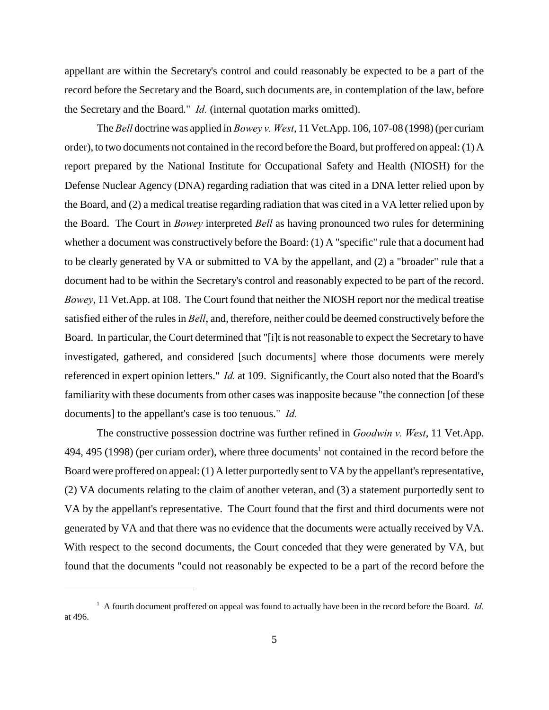appellant are within the Secretary's control and could reasonably be expected to be a part of the record before the Secretary and the Board, such documents are, in contemplation of the law, before the Secretary and the Board." *Id.* (internal quotation marks omitted).

The *Bell* doctrine was applied in *Bowey v. West*, 11 Vet.App. 106, 107-08 (1998) (per curiam order), to two documents not contained in the record before the Board, but proffered on appeal: (1) A report prepared by the National Institute for Occupational Safety and Health (NIOSH) for the Defense Nuclear Agency (DNA) regarding radiation that was cited in a DNA letter relied upon by the Board, and (2) a medical treatise regarding radiation that was cited in a VA letter relied upon by the Board. The Court in *Bowey* interpreted *Bell* as having pronounced two rules for determining whether a document was constructively before the Board: (1) A "specific" rule that a document had to be clearly generated by VA or submitted to VA by the appellant, and (2) a "broader" rule that a document had to be within the Secretary's control and reasonably expected to be part of the record. *Bowey*, 11 Vet.App. at 108. The Court found that neither the NIOSH report nor the medical treatise satisfied either of the rules in *Bell*, and, therefore, neither could be deemed constructively before the Board. In particular, the Court determined that "[i]t is not reasonable to expect the Secretary to have investigated, gathered, and considered [such documents] where those documents were merely referenced in expert opinion letters." *Id.* at 109. Significantly, the Court also noted that the Board's familiarity with these documents from other cases was inapposite because "the connection [of these documents] to the appellant's case is too tenuous." *Id.*

The constructive possession doctrine was further refined in *Goodwin v. West*, 11 Vet.App. 494, 495 (1998) (per curiam order), where three documents<sup>1</sup> not contained in the record before the Board were proffered on appeal: (1) A letter purportedly sent to VA by the appellant's representative, (2) VA documents relating to the claim of another veteran, and (3) a statement purportedly sent to VA by the appellant's representative. The Court found that the first and third documents were not generated by VA and that there was no evidence that the documents were actually received by VA. With respect to the second documents, the Court conceded that they were generated by VA, but found that the documents "could not reasonably be expected to be a part of the record before the

<sup>&</sup>lt;sup>1</sup> A fourth document proffered on appeal was found to actually have been in the record before the Board. *Id.* at 496.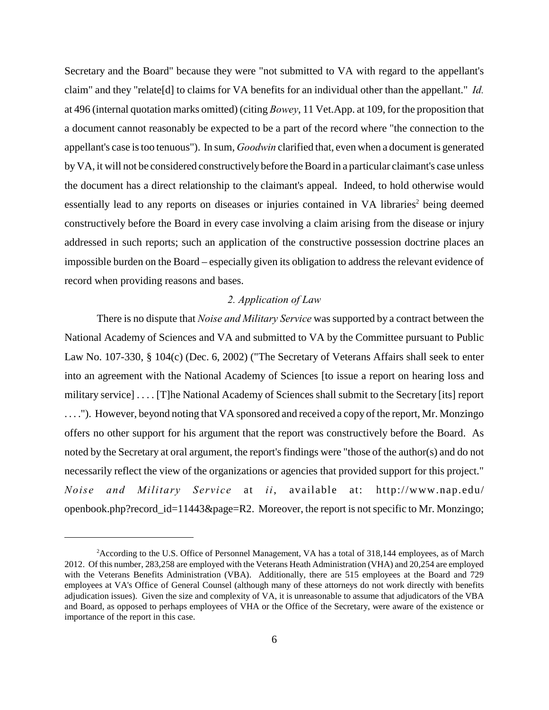Secretary and the Board" because they were "not submitted to VA with regard to the appellant's claim" and they "relate[d] to claims for VA benefits for an individual other than the appellant." *Id.* at 496 (internal quotation marks omitted) (citing *Bowey*, 11 Vet.App. at 109, for the proposition that a document cannot reasonably be expected to be a part of the record where "the connection to the appellant's case is too tenuous"). In sum, *Goodwin* clarified that, even when a document is generated by VA, it will not be considered constructively before the Board in a particular claimant's case unless the document has a direct relationship to the claimant's appeal. Indeed, to hold otherwise would essentially lead to any reports on diseases or injuries contained in VA libraries<sup>2</sup> being deemed constructively before the Board in every case involving a claim arising from the disease or injury addressed in such reports; such an application of the constructive possession doctrine places an impossible burden on the Board – especially given its obligation to address the relevant evidence of record when providing reasons and bases.

### *2. Application of Law*

There is no dispute that *Noise and Military Service* was supported by a contract between the National Academy of Sciences and VA and submitted to VA by the Committee pursuant to Public Law No. 107-330, § 104(c) (Dec. 6, 2002) ("The Secretary of Veterans Affairs shall seek to enter into an agreement with the National Academy of Sciences [to issue a report on hearing loss and military service] . . . . [T]he National Academy of Sciences shall submit to the Secretary [its] report . . . ."). However, beyond noting that VA sponsored and received a copy of the report, Mr. Monzingo offers no other support for his argument that the report was constructively before the Board. As noted by the Secretary at oral argument, the report's findings were "those of the author(s) and do not necessarily reflect the view of the organizations or agencies that provided support for this project." *Noise and Military Service* at *ii*, available at: [http://www.nap.edu/](http://www.nap.edu/openbook.php?record_id=11443&page=R2.) [openbook.php?record\\_id=11443&page=R2.](http://www.nap.edu/openbook.php?record_id=11443&page=R2.) Moreover, the report is not specific to Mr. Monzingo;

<sup>&</sup>lt;sup>2</sup> According to the U.S. Office of Personnel Management, VA has a total of 318,144 employees, as of March 2012. Of this number, 283,258 are employed with the Veterans Heath Administration (VHA) and 20,254 are employed with the Veterans Benefits Administration (VBA). Additionally, there are 515 employees at the Board and 729 employees at VA's Office of General Counsel (although many of these attorneys do not work directly with benefits adjudication issues). Given the size and complexity of VA, it is unreasonable to assume that adjudicators of the VBA and Board, as opposed to perhaps employees of VHA or the Office of the Secretary, were aware of the existence or importance of the report in this case.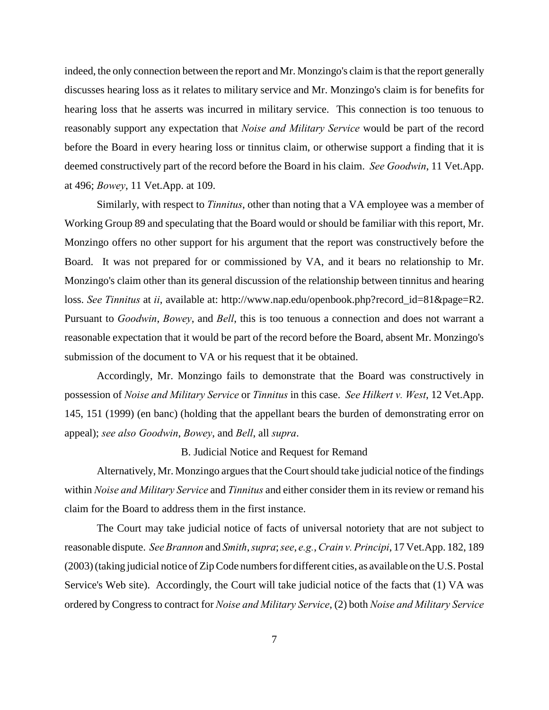indeed, the only connection between the report and Mr. Monzingo's claim is that the report generally discusses hearing loss as it relates to military service and Mr. Monzingo's claim is for benefits for hearing loss that he asserts was incurred in military service. This connection is too tenuous to reasonably support any expectation that *Noise and Military Service* would be part of the record before the Board in every hearing loss or tinnitus claim, or otherwise support a finding that it is deemed constructively part of the record before the Board in his claim. *See Goodwin*, 11 Vet.App. at 496; *Bowey*, 11 Vet.App. at 109.

Similarly, with respect to *Tinnitus*, other than noting that a VA employee was a member of Working Group 89 and speculating that the Board would or should be familiar with this report, Mr. Monzingo offers no other support for his argument that the report was constructively before the Board. It was not prepared for or commissioned by VA, and it bears no relationship to Mr. Monzingo's claim other than its general discussion of the relationship between tinnitus and hearing loss. *See Tinnitus* at *ii*, available at: http://www.nap.edu/openbook.php?record\_id=81&page=R2. Pursuant to *Goodwin*, *Bowey*, and *Bell*, this is too tenuous a connection and does not warrant a reasonable expectation that it would be part of the record before the Board, absent Mr. Monzingo's submission of the document to VA or his request that it be obtained.

Accordingly, Mr. Monzingo fails to demonstrate that the Board was constructively in possession of *Noise and Military Service* or *Tinnitus* in this case. *See Hilkert v. West*, 12 Vet.App. 145, 151 (1999) (en banc) (holding that the appellant bears the burden of demonstrating error on appeal); *see also Goodwin*, *Bowey*, and *Bell*, all *supra*.

B. Judicial Notice and Request for Remand

Alternatively, Mr. Monzingo argues that the Court should take judicial notice of the findings within *Noise and Military Service* and *Tinnitus* and either consider them in its review or remand his claim for the Board to address them in the first instance.

The Court may take judicial notice of facts of universal notoriety that are not subject to reasonable dispute. *See Brannon* and *Smith*, *supra*; *see*, *e.g.*, *Crain v. Principi*, 17 Vet.App. 182, 189 (2003) (taking judicial notice of Zip Code numbers for different cities, as available on the U.S. Postal Service's Web site). Accordingly, the Court will take judicial notice of the facts that (1) VA was ordered by Congress to contract for *Noise and Military Service*, (2) both *Noise and Military Service*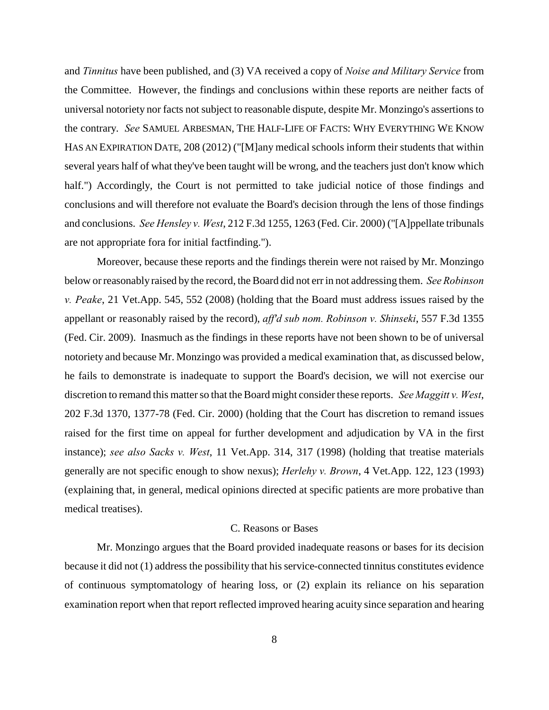and *Tinnitus* have been published, and (3) VA received a copy of *Noise and Military Service* from the Committee. However, the findings and conclusions within these reports are neither facts of universal notoriety nor facts not subject to reasonable dispute, despite Mr. Monzingo's assertions to the contrary. *See* SAMUEL ARBESMAN, THE HALF-LIFE OF FACTS: WHY EVERYTHING WE KNOW HAS AN EXPIRATION DATE, 208 (2012) ("[M]any medical schools inform their students that within several years half of what they've been taught will be wrong, and the teachers just don't know which half.") Accordingly, the Court is not permitted to take judicial notice of those findings and conclusions and will therefore not evaluate the Board's decision through the lens of those findings and conclusions. *See Hensley v. West*, 212 F.3d 1255, 1263 (Fed. Cir. 2000) ("[A]ppellate tribunals are not appropriate fora for initial factfinding.").

Moreover, because these reports and the findings therein were not raised by Mr. Monzingo below or reasonably raised by the record, the Board did not err in not addressing them. *See Robinson v. Peake*, 21 Vet.App. 545, 552 (2008) (holding that the Board must address issues raised by the appellant or reasonably raised by the record), *aff'd sub nom. Robinson v. Shinseki*, 557 F.3d 1355 (Fed. Cir. 2009). Inasmuch as the findings in these reports have not been shown to be of universal notoriety and because Mr. Monzingo was provided a medical examination that, as discussed below, he fails to demonstrate is inadequate to support the Board's decision, we will not exercise our discretion to remand this matter so that the Board might consider these reports. *See Maggitt v. West*, 202 F.3d 1370, 1377-78 (Fed. Cir. 2000) (holding that the Court has discretion to remand issues raised for the first time on appeal for further development and adjudication by VA in the first instance); *see also Sacks v. West*, 11 Vet.App. 314, 317 (1998) (holding that treatise materials generally are not specific enough to show nexus); *Herlehy v. Brown*, 4 Vet.App. 122, 123 (1993) (explaining that, in general, medical opinions directed at specific patients are more probative than medical treatises).

### C. Reasons or Bases

Mr. Monzingo argues that the Board provided inadequate reasons or bases for its decision because it did not (1) address the possibility that his service-connected tinnitus constitutes evidence of continuous symptomatology of hearing loss, or (2) explain its reliance on his separation examination report when that report reflected improved hearing acuity since separation and hearing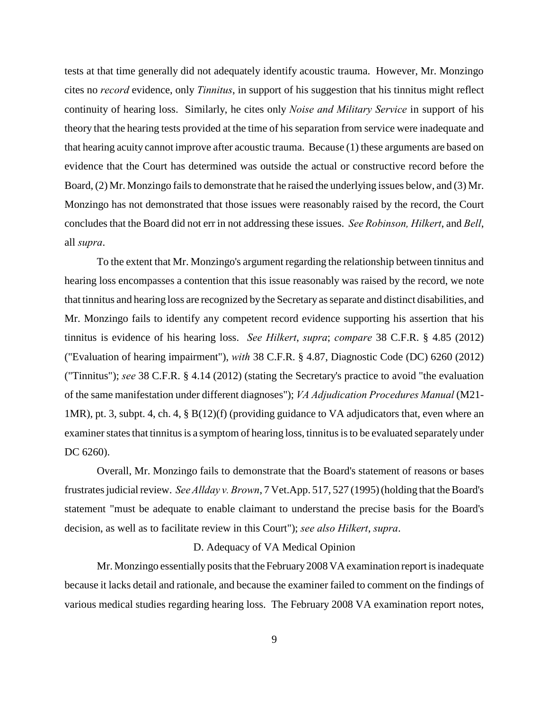tests at that time generally did not adequately identify acoustic trauma. However, Mr. Monzingo cites no *record* evidence, only *Tinnitus*, in support of his suggestion that his tinnitus might reflect continuity of hearing loss. Similarly, he cites only *Noise and Military Service* in support of his theory that the hearing tests provided at the time of his separation from service were inadequate and that hearing acuity cannot improve after acoustic trauma. Because (1) these arguments are based on evidence that the Court has determined was outside the actual or constructive record before the Board, (2) Mr. Monzingo fails to demonstrate that he raised the underlying issues below, and (3) Mr. Monzingo has not demonstrated that those issues were reasonably raised by the record, the Court concludes that the Board did not err in not addressing these issues. *See Robinson, Hilkert*, and *Bell*, all *supra*.

To the extent that Mr. Monzingo's argument regarding the relationship between tinnitus and hearing loss encompasses a contention that this issue reasonably was raised by the record, we note that tinnitus and hearing loss are recognized by the Secretary as separate and distinct disabilities, and Mr. Monzingo fails to identify any competent record evidence supporting his assertion that his tinnitus is evidence of his hearing loss. *See Hilkert*, *supra*; *compare* 38 C.F.R. § 4.85 (2012) ("Evaluation of hearing impairment"), *with* 38 C.F.R. § 4.87, Diagnostic Code (DC) 6260 (2012) ("Tinnitus"); *see* 38 C.F.R. § 4.14 (2012) (stating the Secretary's practice to avoid "the evaluation of the same manifestation under different diagnoses"); *VA Adjudication Procedures Manual* (M21- 1MR), pt. 3, subpt. 4, ch. 4, § B(12)(f) (providing guidance to VA adjudicators that, even where an examiner states that tinnitus is a symptom of hearing loss, tinnitus is to be evaluated separately under DC 6260).

Overall, Mr. Monzingo fails to demonstrate that the Board's statement of reasons or bases frustrates judicial review. *See Allday v. Brown*, 7 Vet.App. 517, 527 (1995)(holding that the Board's statement "must be adequate to enable claimant to understand the precise basis for the Board's decision, as well as to facilitate review in this Court"); *see also Hilkert*, *supra*.

### D. Adequacy of VA Medical Opinion

Mr. Monzingo essentially posits that the February 2008 VA examination report is inadequate because it lacks detail and rationale, and because the examiner failed to comment on the findings of various medical studies regarding hearing loss. The February 2008 VA examination report notes,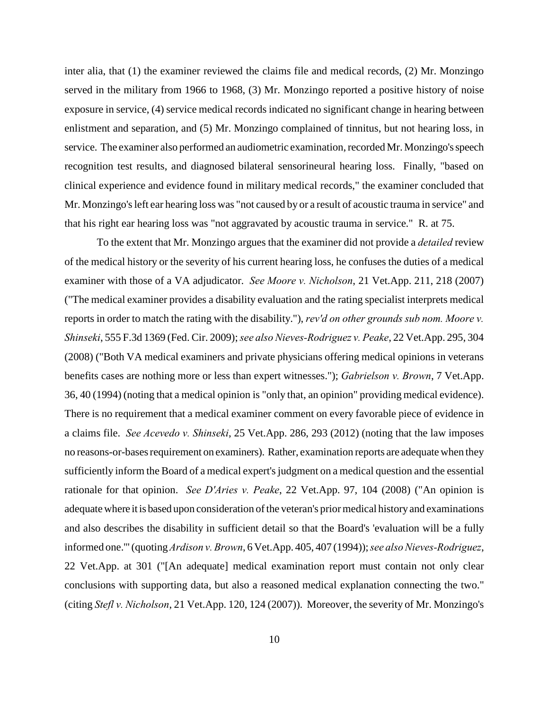inter alia, that (1) the examiner reviewed the claims file and medical records, (2) Mr. Monzingo served in the military from 1966 to 1968, (3) Mr. Monzingo reported a positive history of noise exposure in service, (4) service medical records indicated no significant change in hearing between enlistment and separation, and (5) Mr. Monzingo complained of tinnitus, but not hearing loss, in service. The examiner also performed an audiometric examination, recorded Mr. Monzingo's speech recognition test results, and diagnosed bilateral sensorineural hearing loss. Finally, "based on clinical experience and evidence found in military medical records," the examiner concluded that Mr. Monzingo's left ear hearing loss was "not caused by or a result of acoustic trauma in service" and that his right ear hearing loss was "not aggravated by acoustic trauma in service." R. at 75.

To the extent that Mr. Monzingo argues that the examiner did not provide a *detailed* review of the medical history or the severity of his current hearing loss, he confuses the duties of a medical examiner with those of a VA adjudicator. *See Moore v. Nicholson*, 21 Vet.App. 211, 218 (2007) ("The medical examiner provides a disability evaluation and the rating specialist interprets medical reports in order to match the rating with the disability."), *rev'd on other grounds sub nom. Moore v. Shinseki*, 555 F.3d 1369 (Fed. Cir. 2009); *see also Nieves-Rodriguez v. Peake*, 22 Vet.App. 295, 304 (2008) ("Both VA medical examiners and private physicians offering medical opinions in veterans benefits cases are nothing more or less than expert witnesses."); *Gabrielson v. Brown*, 7 Vet.App. 36, 40 (1994) (noting that a medical opinion is "only that, an opinion" providing medical evidence). There is no requirement that a medical examiner comment on every favorable piece of evidence in a claims file. *See Acevedo v. Shinseki*, 25 Vet.App. 286, 293 (2012) (noting that the law imposes no reasons-or-bases requirement on examiners). Rather, examination reports are adequate when they sufficiently inform the Board of a medical expert's judgment on a medical question and the essential rationale for that opinion. *See D'Aries v. Peake*, 22 Vet.App. 97, 104 (2008) ("An opinion is adequate where it is based upon consideration of the veteran's prior medical history and examinations and also describes the disability in sufficient detail so that the Board's 'evaluation will be a fully informed one.'" (quoting *Ardison v. Brown*, 6 Vet.App. 405, 407 (1994)); *see also Nieves-Rodriguez*, 22 Vet.App. at 301 ("[An adequate] medical examination report must contain not only clear conclusions with supporting data, but also a reasoned medical explanation connecting the two." (citing *Stefl v. Nicholson*, 21 Vet.App. 120, 124 (2007)). Moreover, the severity of Mr. Monzingo's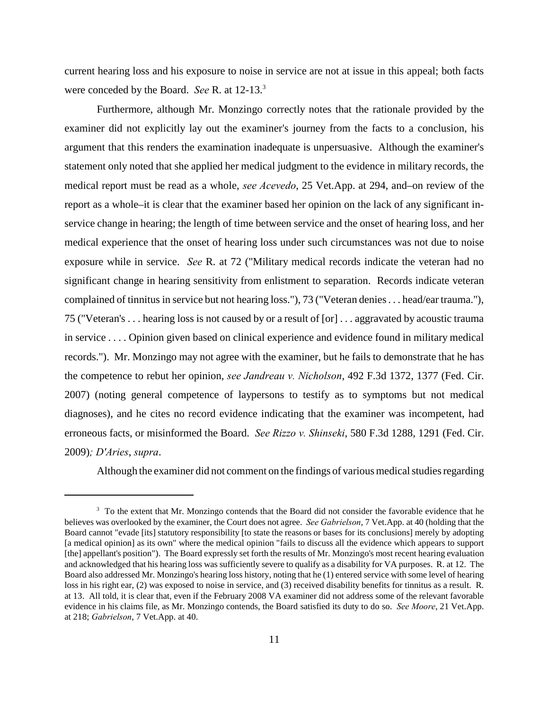current hearing loss and his exposure to noise in service are not at issue in this appeal; both facts were conceded by the Board. *See* R. at 12-13.<sup>3</sup>

Furthermore, although Mr. Monzingo correctly notes that the rationale provided by the examiner did not explicitly lay out the examiner's journey from the facts to a conclusion, his argument that this renders the examination inadequate is unpersuasive. Although the examiner's statement only noted that she applied her medical judgment to the evidence in military records, the medical report must be read as a whole, *see Acevedo*, 25 Vet.App. at 294, and–on review of the report as a whole–it is clear that the examiner based her opinion on the lack of any significant inservice change in hearing; the length of time between service and the onset of hearing loss, and her medical experience that the onset of hearing loss under such circumstances was not due to noise exposure while in service. *See* R. at 72 ("Military medical records indicate the veteran had no significant change in hearing sensitivity from enlistment to separation. Records indicate veteran complained of tinnitus in service but not hearing loss."), 73 ("Veteran denies . . . head/ear trauma."), 75 ("Veteran's . . . hearing loss is not caused by or a result of [or] . . . aggravated by acoustic trauma in service . . . . Opinion given based on clinical experience and evidence found in military medical records."). Mr. Monzingo may not agree with the examiner, but he fails to demonstrate that he has the competence to rebut her opinion, *see Jandreau v. Nicholson*, 492 F.3d 1372, 1377 (Fed. Cir. 2007) (noting general competence of laypersons to testify as to symptoms but not medical diagnoses), and he cites no record evidence indicating that the examiner was incompetent, had erroneous facts, or misinformed the Board. *See Rizzo v. Shinseki*, 580 F.3d 1288, 1291 (Fed. Cir. 2009)*; D'Aries*, *supra*.

Although the examiner did not comment on the findings of various medical studies regarding

<sup>&</sup>lt;sup>3</sup> To the extent that Mr. Monzingo contends that the Board did not consider the favorable evidence that he believes was overlooked by the examiner, the Court does not agree. *See Gabrielson*, 7 Vet.App. at 40 (holding that the Board cannot "evade [its] statutory responsibility [to state the reasons or bases for its conclusions] merely by adopting [a medical opinion] as its own" where the medical opinion "fails to discuss all the evidence which appears to support [the] appellant's position"). The Board expressly set forth the results of Mr. Monzingo's most recent hearing evaluation and acknowledged that his hearing loss was sufficiently severe to qualify as a disability for VA purposes. R. at 12. The Board also addressed Mr. Monzingo's hearing loss history, noting that he (1) entered service with some level of hearing loss in his right ear, (2) was exposed to noise in service, and (3) received disability benefits for tinnitus as a result. R. at 13. All told, it is clear that, even if the February 2008 VA examiner did not address some of the relevant favorable evidence in his claims file, as Mr. Monzingo contends, the Board satisfied its duty to do so. *See Moore*, 21 Vet.App. at 218; *Gabrielson*, 7 Vet.App. at 40.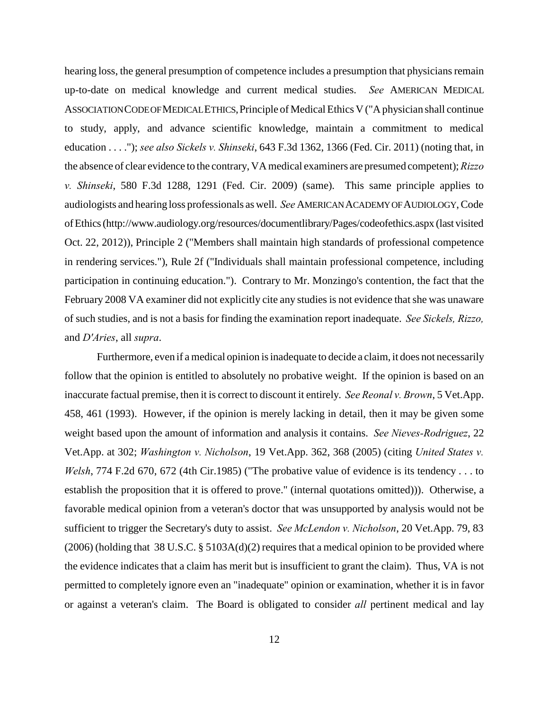hearing loss, the general presumption of competence includes a presumption that physicians remain up-to-date on medical knowledge and current medical studies. *See* AMERICAN MEDICAL ASSOCIATION CODE OF MEDICAL ETHICS,Principle of Medical Ethics V ("A physician shall continue to study, apply, and advance scientific knowledge, maintain a commitment to medical education . . . ."); *see also Sickels v. Shinseki*, 643 F.3d 1362, 1366 (Fed. Cir. 2011) (noting that, in the absence of clear evidence to the contrary, VA medical examiners are presumed competent); *Rizzo v. Shinseki*, 580 F.3d 1288, 1291 (Fed. Cir. 2009) (same). This same principle applies to audiologists and hearing loss professionals as well. *See* AMERICAN ACADEMY OF AUDIOLOGY, Code of Ethics (http://www.audiology.org/resources/documentlibrary/Pages/codeofethics.aspx (last visited Oct. 22, 2012)), Principle 2 ("Members shall maintain high standards of professional competence in rendering services."), Rule 2f ("Individuals shall maintain professional competence, including participation in continuing education."). Contrary to Mr. Monzingo's contention, the fact that the February 2008 VA examiner did not explicitly cite any studies is not evidence that she was unaware of such studies, and is not a basis for finding the examination report inadequate. *See Sickels, Rizzo,* and *D'Aries*, all *supra*.

Furthermore, even if a medical opinion is inadequate to decide a claim, it does not necessarily follow that the opinion is entitled to absolutely no probative weight. If the opinion is based on an inaccurate factual premise, then it is correct to discount it entirely. *See Reonal v. Brown*, 5 Vet.App. 458, 461 (1993). However, if the opinion is merely lacking in detail, then it may be given some weight based upon the amount of information and analysis it contains. *See Nieves-Rodriguez*, 22 Vet.App. at 302; *Washington v. Nicholson*, 19 Vet.App. 362, 368 (2005) (citing *United States v. Welsh*, 774 F.2d 670, 672 (4th Cir.1985) ("The probative value of evidence is its tendency . . . to establish the proposition that it is offered to prove." (internal quotations omitted))). Otherwise, a favorable medical opinion from a veteran's doctor that was unsupported by analysis would not be sufficient to trigger the Secretary's duty to assist. *See McLendon v. Nicholson*, 20 Vet.App. 79, 83 (2006) (holding that 38 U.S.C. § 5103A(d)(2) requires that a medical opinion to be provided where the evidence indicates that a claim has merit but is insufficient to grant the claim). Thus, VA is not permitted to completely ignore even an "inadequate" opinion or examination, whether it is in favor or against a veteran's claim. The Board is obligated to consider *all* pertinent medical and lay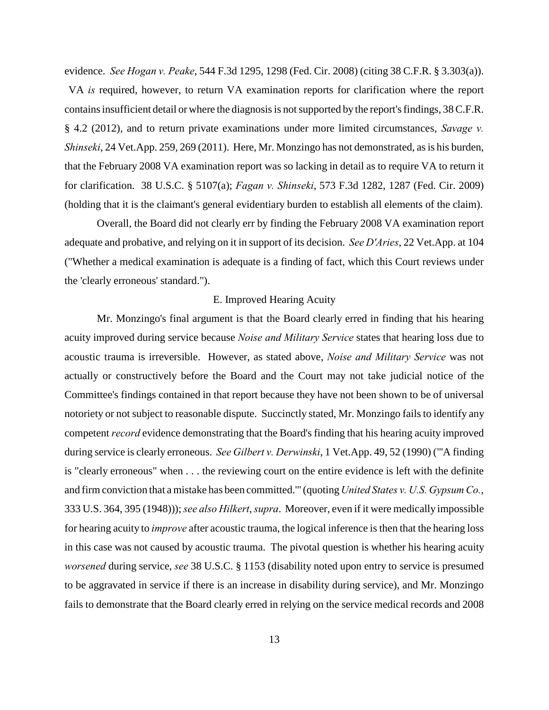evidence. *See Hogan v. Peake*, 544 F.3d 1295, 1298 (Fed. Cir. 2008) (citing 38 C.F.R. § 3.303(a)). VA *is* required, however, to return VA examination reports for clarification where the report contains insufficient detail or where the diagnosis is not supported by the report's findings, 38 C.F.R. § 4.2 (2012), and to return private examinations under more limited circumstances, *Savage v. Shinseki*, 24 Vet.App. 259, 269 (2011). Here, Mr. Monzingo has not demonstrated, as is his burden, that the February 2008 VA examination report was so lacking in detail as to require VA to return it for clarification. 38 U.S.C. § 5107(a); *Fagan v. Shinseki*, 573 F.3d 1282, 1287 (Fed. Cir. 2009) (holding that it is the claimant's general evidentiary burden to establish all elements of the claim).

Overall, the Board did not clearly err by finding the February 2008 VA examination report adequate and probative, and relying on it in support of its decision. *See D'Aries*, 22 Vet.App. at 104 ("Whether a medical examination is adequate is a finding of fact, which this Court reviews under the 'clearly erroneous' standard.").

#### E. Improved Hearing Acuity

Mr. Monzingo's final argument is that the Board clearly erred in finding that his hearing acuity improved during service because *Noise and Military Service* states that hearing loss due to acoustic trauma is irreversible. However, as stated above, *Noise and Military Service* was not actually or constructively before the Board and the Court may not take judicial notice of the Committee's findings contained in that report because they have not been shown to be of universal notoriety or not subject to reasonable dispute. Succinctly stated, Mr. Monzingo fails to identify any competent *record* evidence demonstrating that the Board's finding that his hearing acuity improved during service is clearly erroneous. *See Gilbert v. Derwinski*, 1 Vet.App. 49, 52 (1990) ("'A finding is "clearly erroneous" when . . . the reviewing court on the entire evidence is left with the definite and firm conviction that a mistake has been committed.'" (quoting *United States v. U.S. Gypsum Co.*, 333 U.S. 364, 395 (1948))); *see also Hilkert*, *supra*. Moreover, even if it were medically impossible for hearing acuity to *improve* after acoustic trauma, the logical inference is then that the hearing loss in this case was not caused by acoustic trauma. The pivotal question is whether his hearing acuity *worsened* during service, *see* 38 U.S.C. § 1153 (disability noted upon entry to service is presumed to be aggravated in service if there is an increase in disability during service), and Mr. Monzingo fails to demonstrate that the Board clearly erred in relying on the service medical records and 2008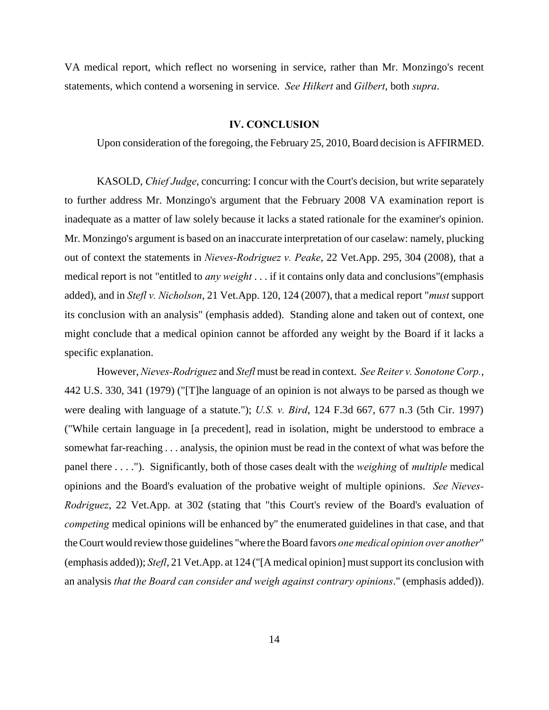VA medical report, which reflect no worsening in service, rather than Mr. Monzingo's recent statements, which contend a worsening in service. *See Hilkert* and *Gilbert*, both *supra*.

#### **IV. CONCLUSION**

Upon consideration of the foregoing, the February 25, 2010, Board decision is AFFIRMED.

KASOLD, *Chief Judge*, concurring: I concur with the Court's decision, but write separately to further address Mr. Monzingo's argument that the February 2008 VA examination report is inadequate as a matter of law solely because it lacks a stated rationale for the examiner's opinion. Mr. Monzingo's argument is based on an inaccurate interpretation of our caselaw: namely, plucking out of context the statements in *Nieves-Rodriguez v. Peake*, 22 Vet.App. 295, 304 (2008), that a medical report is not "entitled to *any weight* . . . if it contains only data and conclusions"(emphasis added), and in *Stefl v. Nicholson*, 21 Vet.App. 120, 124 (2007), that a medical report "*must* support its conclusion with an analysis" (emphasis added). Standing alone and taken out of context, one might conclude that a medical opinion cannot be afforded any weight by the Board if it lacks a specific explanation.

However, *Nieves-Rodriguez* and *Stefl* must be read in context. *See Reiter v. Sonotone Corp.*, 442 U.S. 330, 341 (1979) ("[T]he language of an opinion is not always to be parsed as though we were dealing with language of a statute."); *U.S. v. Bird*, 124 F.3d 667, 677 n.3 (5th Cir. 1997) ("While certain language in [a precedent], read in isolation, might be understood to embrace a somewhat far-reaching . . . analysis, the opinion must be read in the context of what was before the panel there . . . ."). Significantly, both of those cases dealt with the *weighing* of *multiple* medical opinions and the Board's evaluation of the probative weight of multiple opinions. *See Nieves-Rodriguez*, 22 Vet.App. at 302 (stating that "this Court's review of the Board's evaluation of *competing* medical opinions will be enhanced by" the enumerated guidelines in that case, and that the Court would review those guidelines "where the Board favors *one medical opinion over another*" (emphasis added)); *Stefl*, 21 Vet.App. at 124 ("[A medical opinion] must support its conclusion with an analysis *that the Board can consider and weigh against contrary opinions*." (emphasis added)).